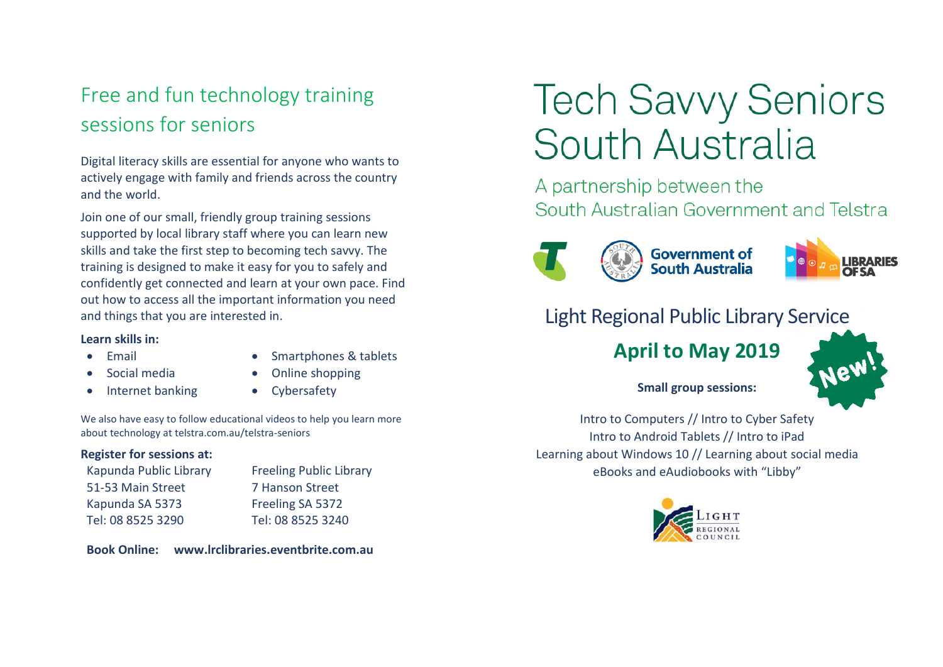## Free and fun technology training sessions for seniors

Digital literacy skills are essential for anyone who wants to actively engage with family and friends across the country and the world.

Join one of our small, friendly group training sessions supported by local library staff where you can learn new skills and take the first step to becoming tech savvy. The training is designed to make it easy for you to safely and confidently get connected and learn at your own pace. Find out how to access all the important information you need and things that you are interested in.

#### **Learn skills in:**

• Email

- Smartphones & tablets
- Social media
- Online shopping
- Internet banking
- Cybersafety

We also have easy to follow educational videos to help you learn more about technology at telstra.com.au/telstra-seniors

#### **Register for sessions at:**

Kapunda Public Library 51-53 Main Street Kapunda SA 5373 Tel: 08 8525 3290

Freeling Public Library 7 Hanson Street Freeling SA 5372 Tel: 08 8525 3240

**Book Online: www.lrclibraries.eventbrite.com.au**

# **Tech Savvy Seniors** South Australia

A partnership between the South Australian Government and Telstra



Government of<br>South Australia



## Light Regional Public Library Service

## **April to May 2019**



#### **Small group sessions:**

Intro to Computers // Intro to Cyber Safety Intro to Android Tablets // Intro to iPad Learning about Windows 10 // Learning about social media eBooks and eAudiobooks with "Libby"